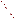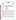# **THE ENVIRONMENTAL TECHNOLOGY VERIFICATION**







# **ETV Joint Verification Statement**

| <b>TECHNOLOGY TYPE:</b> | <b>ENVIRONMENTAL DECISION SUPPORT SOFTWARE</b>                                                                     |
|-------------------------|--------------------------------------------------------------------------------------------------------------------|
| <b>APPLICATION:</b>     | INTEGRATION, VISUALIZATION, SAMPLE OPTIMIZATION,<br>AND COST-BENEFIT ANALYSIS OF ENVIRONMENTAL<br><b>DATA SETS</b> |
| <b>TECHNOLOGY NAME:</b> | Sampling $FX$                                                                                                      |
| <b>COMPANY:</b>         | <b>DecisionFX, Inc.<br/>310 Country Lane<br/>Bosque Farms, NM 87068</b>                                            |
| <b>PHONE:</b>           | $(505) 869 - 0057$                                                                                                 |
| <b>WEBSITE:</b>         | www.decisionFX.com                                                                                                 |

The U.S. Environmental Protection Agency (EPA) has created the Environmental Technology Verification Program (ETV) to facilitate the deployment of innovative or improved environmental technologies through performance verification and dissemination of information. The goal of the ETV Program is to further environmental protection by substantially accelerating the acceptance and use of improved and cost-effective technologies. ETV seeks to achieve this goal by providing high-quality, peer-reviewed data on technology performance to those involved in the design, distribution, financing, permitting, purchase, and use of environmental technologies.

ETV works in partnership with recognized standards and testing organizations and stakeholder groups consisting of regulators, buyers, and vendor organizations, with the full participation of individual technology developers. The program evaluates the performance of innovative technologies by developing test plans that are responsive to the needs of stakeholders, conducting field or laboratory tests (as appropriate), collecting and analyzing data, and preparing peer-reviewed reports. All evaluations are conducted in accordance with rigorous quality assurance protocols to ensure that data of known and adequate quality are generated and that the results are defensible.

The Site Characterization and Monitoring Technologies Pilot (SCMT), one of 12 technology areas under ETV, is administered by EPA's National Exposure Research Laboratory (NERL). With the support of the U.S. Department of Energy's (DOE's) Environmental Management (EM) program, NERL selected a team from Brookhaven National Laboratory (BNL) and Oak Ridge National Laboratory (ORNL) to perform the verification of environmental decision support software. This verification statement provides a summary of the test results of a demonstration of Decision*FX*'s Sampling*FX* environmental decision support software product.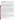#### **DEMONSTRATION DESCRIPTION**

In September 1998, the performance of five decision support software (DSS) products were evaluated at the New Mexico Engineering Research Institute, located in Albuquerque, New Mexico. In October 1998, a sixth DSS product was tested at BNL in Upton, New York. Each technology was independently evaluated by comparing its analysis results with measured field data and, in some cases, known analytical solutions to the problem.

Depending on the software, each was assessed for its ability to evaluate one or more of the following endpoints of environmental contamination problems: visualization, sample optimization, and cost-benefit analysis. The capabilities of the DSS were evaluated in the following areas: (1) the effectiveness of integrating data and models to produce information that supports the decision, and (2) the information and approach used to support the analysis. Secondary evaluation objectives were to examine DSS for its reliability, resource requirements, range of applicability, and ease of operation. The verification study focused on the developers' analysis of multiple test problems with different levels of complexity. Each developer analyzed a minimum of three test problems. These test problems, generated mostly from actual environmental data from six real remediation sites, were identified as Sites A, B, D, N, S, and T. The use of real data challenged the software systems because of the variability in natural systems. The technical team performed a baseline analysis for each problem to be used as a basis of comparison.

Decision*FX*, Inc., chose to use Sampling*FX* to perform the visualization, sample optimization, and costbenefit endpoints for four problems from three sites (A, N, and T). Sampling*FX* was used to provide objective guidance on the selection of optimum locations for new samples, to quantify the nature and extent of contamination as a function of probability, to estimate exposure concentrations for human health risk analysis, and to estimate cleanup volumes as a function of cleanup level. The Site A sample optimization test problem was a three-dimensional (3-D) groundwater problem for two volatile organic compounds (VOCs), dichloroethene (DCE), and trichlorethene (TCE). The Site N sample optimization problem was a twodimensional (2-D) soil contamination problem for three heavy metals (arsenic, cadmium, and chromium). In this problem, data were supplied over a limited area of the site, and the analyst was asked to develop a sampling strategy that characterized the remainder of the 125-acre site while taking only 80 additional samples. The Site N cost-benefit problem considered the same contaminants as the sample optimization problem and had 524 data points on a 14-acre site. The objective of this problem was to define the areas in which the contamination exceeded threshold concentrations. In addition, the analysts were asked to estimate the human health risks based on current conditions. The Site T test problem was a 2-D soil contamination problem. This problem included four contaminants: ethylene dibromide (EDB), dichloropropane (DCP), dibromochloropropane (DBCP), and carbon tetrachloride (CTC).

Details of the demonstration, including an evaluation of the software's performance may be found in the report entitled *Environmental Technology Verification Report: Environmental Decision Support Software— DecisionFX, Inc., SamplingFX*, EPA/600-00/038.

## **TECHNOLOGY DESCRIPTION**

Sampling*FX* is a geostatistics-based software program intended to provide decision makers and analysts a means of evaluating environmental information relative to the nature and extent of contamination in surface and subsurface soils. Key attributes of the product include the ability to delineate, provide visual feedback on, and quantify uncertainties in the nature and extent of soil contamination (e.g., concentration distribution, probability of exceeding a soil cleanup guideline); to provide objective recommendations on the number and location of sample locations; and to provide statistical information about the contamination (e.g., average volume of contamination, standard deviation, etc.). Sampling*FX* runs on Windows 95, 98 or NT platforms and on the Power Macintosh system.

## **VERIFICATION OF PERFORMANCE**

The following performance characteristics of Sampling*FX* were observed: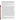*Decision Support:* In the demonstration, Decision*FX* used Sampling*FX* to import data on contaminant concentrations and surface structures from ASCII text files and bitmap graphical image files. Sampling*FX*  demonstrated the ability to integrate this information on a single platform and place the information in a visual context. It generated 2-D maps of concentration contours, maps showing the probability of exceeding threshold concentrations, and variance maps that support data interpretation. The software was used in the demonstration to generate the data necessary for producing cost-benefit curves and estimating human health risk. The cost-benefit curves and risks were produced in auxiliary software, Microsoft Excel. The accuracy of the analyses is discussed in Section 4 of the report.

*Documentation of the SamplingFX Analysis:* The Decision*FX* analyst generated a report that provided an adequate explanation of the process and the parameters used to analyze each problem. Documentation of data transfer, manipulations of the data, and analyses were included. Model selection and parameters for conducting the probabilistic assessment were provided in standard ASCII text files that are exportable to a number of software programs.

*Comparison with Baseline Analysis and Data:* The concentration contours produced by Sampling*FX* during the demonstration were compared to the data and to baseline analyses performed using data interpolation and geostatistics. The visualizations produced by Sampling*FX* were often limited by a lack of a frame of reference or site map, and this lack made comparison more difficult. In the 3-D groundwater contamination sample optimization problem for Site A, the Sampling*FX* concentration contours and probability maps did not match the data or the baseline analysis. For the Site N sample optimization problem, the Sampling*FX* analysis generated an acceptable match to the data and the baseline analysis. When compared to the baseline geostatistical analysis with the entire data set, Sampling*FX* identified approximately 70% of the site that had arsenic contamination above 125 mg/kg with the constraint of an additional 80 samples to characterize the entire 125-acre site. For the Site N cost-benefit problem, contaminant contour and probability maps were consistent with the baseline interpolation and geostatistical analysis. Estimates of the area where the contamination exceeded threshold concentrations matched, to within 20%, the baseline interpolation and geostatistical analyses at the 50% probability levels. The area estimates at the 10% probability level (at least a 10% chance that contamination exceeds the threshold concentration) were considerably different from the baseline geostatistical analysis. This was due to different definitions of the probability level. Sampling*FX*  performs multiple simulations of the concentration distribution at the site. It then calculates the area above the threshold for each simulation and uses these areas to estimate the probability of an area's exceeding the threshold. Consequently, the area probability estimates are for the site as a whole. By contrast, the baseline geostatistical analysis used an approach that is consistent with EPA data quality objective guidance and defined the area estimates based on the probability that a given location could exceed the threshold. There is much more uncertainty on a local scale, and therefore, the area estimates for the baseline geostatistics analysis show a wider variation than the Sampling*FX* analysis at the different probability levels. Sampling*FX* was used to estimate exposure concentrations for risk assessment calculations for two scenarios—exposures for on-site workers and residential exposures. The Sampling*FX* values for the worker scenario were consistent with the baseline analysis for two of the three contaminants but incorrect and too low for one contaminant, arsenic. The exposure concentrations generated by Sampling*FX* for the residential scenario were inconsistent with the data and considerably lower than the baseline estimates for all three contaminants (As, Cd, and Cr). For the Site T soil contamination problem, contaminant contour and probability maps were consistent with the data and the baseline analysis for each of the four contaminants (EDB, DCP, DBCP, and CTC). Estimates of the area where the contamination exceeded threshold concentrations did not match the baseline interpolation analysis and appeared to be inconsistent with the concentration and probability of exceedence maps generated by Sampling*FX*.

*Multiple Lines of Reasoning:* Decision*FX* used Sampling*FX* to provide a number of different analysis approaches to examine the data. The foundation of its approach is a Monte Carlo simulator that produces multiple simulations of the existing data that are consistent with the known data. From these simulations, concentration maps, variance maps, and probability maps were produced to assist in data evaluation. This permits the decision maker to evaluate future actions such as sample location or cleanup guidance based on the level of confidence placed in the analysis.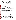In addition to performance criteria, the following secondary criteria were evaluated:

*Ease of Use:* During the demonstration it was observed that in general Sampling *FX* was not user-friendly. Sampling*FX* has (or lacks) several features that make the software package cumbersome to use. These include the need for a formatted data file for importing location and concentration data, the need to have all units of measurement in meters, and the need to have all graphic files imported as a single bitmap, as well as the absence of on-line help. Visualization output is limited to screen captures that can be imported into other software for processing. Visualization output was often supplied without a frame of reference (coordinate scale or site map), and this makes data interpretation more difficult. While each of these limitations can be overcome and the analysis performed, it requires more work on the part of the software operator.

Sampling*FX* exhibited the capability to export ASCII text and graphics to standard word processing software directly. Screen captures from Sampling*FX* were imported into CorelDraw to generate .jpg and .cdr graphic files that can be read by a large number of software products. Sampling*FX* generated data files from statistical analysis and concentration estimates in ASCII format, which can be read by most softwares.

*Efficiency and Range of Applicability:* Sampling*FX* was used to complete four sample optimization/costbenefit problems with 12 person days of effort. This was slightly longer than the technical team would have anticipated and was due primarily to the extensive post-processing of maps and data required for the analysis. However, Sampling*FX* provides the flexibility to address problems tailored to site-specific conditions. The user has control over the choice of the parameters that control the geostatistical simulations, and the software allows a wide range of environmental conditions [e.g., contaminants in different media (groundwater or soil)] to be evaluated. Its applicability to 3-D groundwater contamination problems is not clear. Theoretically, one should be able to use the software for this type of problem. However, the results provided for the Site A 3-D test problem were not consistent with the data.

*Operator Skill Base:* To efficiently use Sampling*FX*, the operator should be knowledgeable in the use of statistics and geostatistics in analyzing data for environmental contamination problems. In addition, knowledge about managing database files, contouring environmental data sets, and conducting sample optimization and cost-benefit problems is beneficial for proper use of the software.

*Training and Technical Support:* An analyst with the prerequisite skill base can use Sampling*FX* after one or two days of training. A users' manual is available to assist in operation of the software. Technical support is available through e-mail and over the phone.

*Cost:* Decision*FX* intends to sell Sampling*FX* for \$500 for a single license. It will be supplied at no cost to state and federal regulators.

*Overall Evaluation:* The technical team's evaluation of Sampling*FX* was based on observation and training supplied during the demonstration, the documentation of the analyses performed during the demonstration, the Sampling*FX* users' guide, the visualization maps provided for the analyses, and the evaluation team's experience with software products that perform similar functions. The technical team concluded that the main strength of Sampling*FX* is its technical approach to solving the sample optimization problem. The use of the multiple simulations of the data to generate probability and concentration maps provides a technically robust framework for conducting sample optimization problems. The technical team concluded that there were several limitations in the application of Sampling*FX* to environmental contamination problems. Sampling*FX*  was unable to produce an adequate match to the data for the Site A 3-D sample optimization problem; was unable to match exposure concentrations for risk calculations; and produced area estimates that were not consistent with its own probability and concentration maps (Sites N and T). In addition, the Decision*FX*  analyst used a nonstandard approach for estimating the probabilities of a given area of contamination. The approach underestimates contamination areas at low probabilities. The technical team also concluded that the many ease-of-use issues identified earlier made the software cumbersome to use. In particular, visualization capabilities were limited.